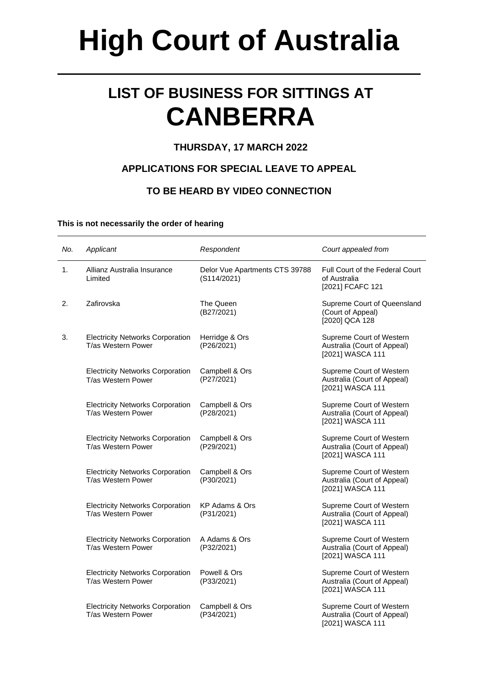# **High Court of Australia**

## **LIST OF BUSINESS FOR SITTINGS AT CANBERRA**

### **THURSDAY, 17 MARCH 2022**

### **APPLICATIONS FOR SPECIAL LEAVE TO APPEAL**

### **TO BE HEARD BY VIDEO CONNECTION**

#### **This is not necessarily the order of hearing**

| No. | Applicant                                                     | Respondent                                    | Court appealed from                                                         |
|-----|---------------------------------------------------------------|-----------------------------------------------|-----------------------------------------------------------------------------|
| 1.  | Allianz Australia Insurance<br>Limited                        | Delor Vue Apartments CTS 39788<br>(S114/2021) | Full Court of the Federal Court<br>of Australia<br>[2021] FCAFC 121         |
| 2.  | Zafirovska                                                    | The Queen<br>(B27/2021)                       | Supreme Court of Queensland<br>(Court of Appeal)<br>[2020] QCA 128          |
| 3.  | <b>Electricity Networks Corporation</b><br>T/as Western Power | Herridge & Ors<br>(P26/2021)                  | Supreme Court of Western<br>Australia (Court of Appeal)<br>[2021] WASCA 111 |
|     | <b>Electricity Networks Corporation</b><br>T/as Western Power | Campbell & Ors<br>(P27/2021)                  | Supreme Court of Western<br>Australia (Court of Appeal)<br>[2021] WASCA 111 |
|     | <b>Electricity Networks Corporation</b><br>T/as Western Power | Campbell & Ors<br>(P28/2021)                  | Supreme Court of Western<br>Australia (Court of Appeal)<br>[2021] WASCA 111 |
|     | <b>Electricity Networks Corporation</b><br>T/as Western Power | Campbell & Ors<br>(P29/2021)                  | Supreme Court of Western<br>Australia (Court of Appeal)<br>[2021] WASCA 111 |
|     | <b>Electricity Networks Corporation</b><br>T/as Western Power | Campbell & Ors<br>(P30/2021)                  | Supreme Court of Western<br>Australia (Court of Appeal)<br>[2021] WASCA 111 |
|     | <b>Electricity Networks Corporation</b><br>T/as Western Power | KP Adams & Ors<br>(P31/2021)                  | Supreme Court of Western<br>Australia (Court of Appeal)<br>[2021] WASCA 111 |
|     | <b>Electricity Networks Corporation</b><br>T/as Western Power | A Adams & Ors<br>(P32/2021)                   | Supreme Court of Western<br>Australia (Court of Appeal)<br>[2021] WASCA 111 |
|     | <b>Electricity Networks Corporation</b><br>T/as Western Power | Powell & Ors<br>(P33/2021)                    | Supreme Court of Western<br>Australia (Court of Appeal)<br>[2021] WASCA 111 |
|     | <b>Electricity Networks Corporation</b><br>T/as Western Power | Campbell & Ors<br>(P34/2021)                  | Supreme Court of Western<br>Australia (Court of Appeal)<br>[2021] WASCA 111 |